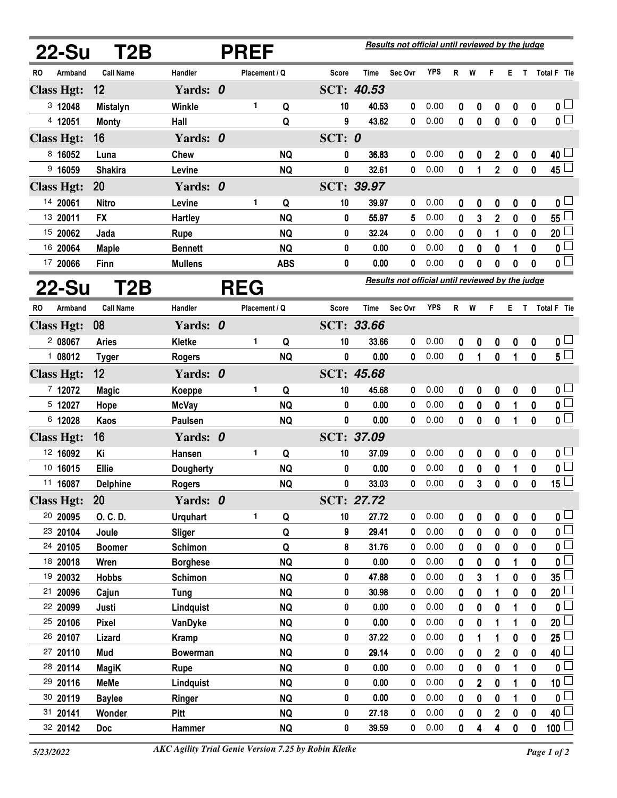|           | 22-Su<br>T2B<br><b>PREF</b> |                   |                  |  |               |            | Results not official until reviewed by the judge |                                                  |         |            |              |                  |                  |                  |              |                         |  |
|-----------|-----------------------------|-------------------|------------------|--|---------------|------------|--------------------------------------------------|--------------------------------------------------|---------|------------|--------------|------------------|------------------|------------------|--------------|-------------------------|--|
| RO.       | Armband                     | <b>Call Name</b>  | Handler          |  | Placement / Q |            | <b>Score</b>                                     | <b>Time</b>                                      | Sec Ovr | <b>YPS</b> | R            | W                | F                | E.               |              | T Total F Tie           |  |
|           | <b>Class Hgt:</b>           | 12                | Yards: 0         |  |               |            |                                                  | SCT: 40.53                                       |         |            |              |                  |                  |                  |              |                         |  |
|           | 3 12048                     | <b>Mistalyn</b>   | Winkle           |  | 1             | Q          | 10                                               | 40.53                                            | 0       | 0.00       | 0            | 0                | 0                | $\boldsymbol{0}$ | 0            | 0 <sub>1</sub>          |  |
|           | 4 12051                     | <b>Monty</b>      | Hall             |  |               | Q          | 9                                                | 43.62                                            | 0       | 0.00       | $\mathbf{0}$ | $\bf{0}$         | $\mathbf{0}$     | $\bf{0}$         | 0            | $\mathfrak{o} \Box$     |  |
|           | <b>Class Hgt:</b>           | 16                | Yards: 0         |  |               |            | SCT: $0$                                         |                                                  |         |            |              |                  |                  |                  |              |                         |  |
|           | 8 16052                     | Luna              | <b>Chew</b>      |  |               | <b>NQ</b>  | 0                                                | 36.83                                            | 0       | 0.00       | 0            | 0                | $\boldsymbol{2}$ | 0                | 0            | 40                      |  |
|           | 9 16059                     | <b>Shakira</b>    | Levine           |  |               | <b>NQ</b>  | 0                                                | 32.61                                            | 0       | 0.00       | $\mathbf{0}$ | 1                | $\overline{2}$   | $\bf{0}$         | $\mathbf 0$  | 45                      |  |
|           | <b>Class Hgt:</b>           | 20                | Yards: 0         |  |               |            |                                                  | SCT: 39.97                                       |         |            |              |                  |                  |                  |              |                         |  |
|           | 14 20061                    | <b>Nitro</b>      | Levine           |  | 1             | Q          | 10                                               | 39.97                                            | 0       | 0.00       | 0            | 0                | 0                | 0                | 0            | $\mathbf 0$             |  |
|           | 13 20011                    | <b>FX</b>         | <b>Hartley</b>   |  |               | <b>NQ</b>  | 0                                                | 55.97                                            | 5       | 0.00       | 0            | 3                | $\overline{2}$   | 0                | 0            | 55                      |  |
|           | 15 20062                    | Jada              | <b>Rupe</b>      |  |               | <b>NQ</b>  | 0                                                | 32.24                                            | 0       | 0.00       | 0            | 0                | 1                | 0                | 0            | 20                      |  |
|           | 16 20064                    | <b>Maple</b>      | <b>Bennett</b>   |  |               | <b>NQ</b>  | 0                                                | 0.00                                             | 0       | 0.00       | 0            | 0                | 0                | 1                | 0            | 0                       |  |
|           | 17 20066                    | Finn              | <b>Mullens</b>   |  |               | <b>ABS</b> | 0                                                | 0.00                                             | 0       | 0.00       | 0            | 0                | 0                | 0                | 0            | 0 L                     |  |
|           | 22-Su                       | T2B<br><b>REG</b> |                  |  |               |            |                                                  | Results not official until reviewed by the judge |         |            |              |                  |                  |                  |              |                         |  |
| <b>RO</b> | Armband                     | <b>Call Name</b>  | Handler          |  | Placement / Q |            | Score                                            | Time                                             | Sec Ovr | <b>YPS</b> | R            | W                | F                | Е                | T            | Total F Tie             |  |
|           | <b>Class Hgt:</b>           | 08                | Yards: 0         |  |               |            |                                                  | SCT: 33.66                                       |         |            |              |                  |                  |                  |              |                         |  |
|           | 208067                      | <b>Aries</b>      | Kletke           |  | 1             | Q          | 10                                               | 33.66                                            | 0       | 0.00       | 0            | 0                | 0                | 0                | 0            | 0 <sub>0</sub>          |  |
|           | 108012                      | <b>Tyger</b>      | <b>Rogers</b>    |  |               | <b>NQ</b>  | 0                                                | 0.00                                             | 0       | 0.00       | 0            | 1                | $\mathbf{0}$     | 1                | $\mathbf{0}$ | $5^{\degree}$           |  |
|           | <b>Class Hgt:</b>           | 12                | Yards: 0         |  |               |            |                                                  | SCT: 45.68                                       |         |            |              |                  |                  |                  |              |                         |  |
|           | 7 12072                     | <b>Magic</b>      | Koeppe           |  | 1             | Q          | 10                                               | 45.68                                            | 0       | 0.00       | 0            | 0                | 0                | $\boldsymbol{0}$ | 0            | 0 <sub>0</sub>          |  |
|           | 5 12027                     | Hope              | <b>McVay</b>     |  |               | <b>NQ</b>  | 0                                                | 0.00                                             | 0       | 0.00       | 0            | $\boldsymbol{0}$ | $\mathbf 0$      | 1                | $\mathbf 0$  | $\mathbf 0$             |  |
|           | 6 12028                     | Kaos              | Paulsen          |  |               | <b>NQ</b>  | 0                                                | 0.00                                             | 0       | 0.00       | 0            | $\bf{0}$         | 0                | 1                | 0            | $\overline{\mathbf{0}}$ |  |
|           | <b>Class Hgt:</b>           | 16                | Yards: 0         |  |               |            |                                                  | SCT: 37.09                                       |         |            |              |                  |                  |                  |              |                         |  |
|           | 12 16092                    | Ki                | Hansen           |  | 1             | Q          | 10                                               | 37.09                                            | 0       | 0.00       | 0            | 0                | 0                | 0                | 0            | 0 <sup>1</sup>          |  |
|           | 10 16015                    | Ellie             | <b>Dougherty</b> |  |               | <b>NQ</b>  | 0                                                | 0.00                                             | 0       | 0.00       | 0            | 0                | 0                | 1                | 0            | $\mathbf 0$             |  |
|           | 11 16087                    | <b>Delphine</b>   | <b>Rogers</b>    |  |               | <b>NQ</b>  | 0                                                | 33.03                                            | 0       | 0.00       | 0            | 3                | 0                | 0                | 0            | 15                      |  |
|           | <b>Class Hgt:</b>           | <b>20</b>         | Yards: 0         |  |               |            |                                                  | SCT: 27.72                                       |         |            |              |                  |                  |                  |              |                         |  |
|           | 20 20095                    | O. C. D.          | <b>Urquhart</b>  |  | 1             | Q          | 10                                               | 27.72                                            | 0       | 0.00       | 0            | 0                | 0                | 0                | 0            | 0 <sub>1</sub>          |  |
|           | 23 20104                    | Joule             | Sliger           |  |               | Q          | 9                                                | 29.41                                            | 0       | 0.00       | 0            | $\mathbf 0$      | 0                | 0                | 0            | $\mathbf 0$             |  |
|           | 24 20105                    | <b>Boomer</b>     | Schimon          |  |               | Q          | 8                                                | 31.76                                            | 0       | 0.00       | 0            | 0                | 0                | 0                | 0            | $\mathbf 0$             |  |
|           | 18 20018                    | Wren              | <b>Borghese</b>  |  |               | <b>NQ</b>  | 0                                                | 0.00                                             | 0       | 0.00       | 0            | $\boldsymbol{0}$ | 0                | 1                | $\mathbf 0$  | $\mathbf 0$             |  |
|           | 19 20032                    | <b>Hobbs</b>      | <b>Schimon</b>   |  |               | <b>NQ</b>  | 0                                                | 47.88                                            | 0       | 0.00       | 0            | 3                | 1                | 0                | 0            | 35                      |  |
|           | 21 20096                    | Cajun             | <b>Tung</b>      |  |               | <b>NQ</b>  | 0                                                | 30.98                                            | 0       | 0.00       | 0            | $\mathbf 0$      | 1                | 0                | 0            | 20                      |  |
|           | 22 20099                    | Justi             | Lindquist        |  |               | <b>NQ</b>  | $\pmb{0}$                                        | 0.00                                             | 0       | 0.00       | 0            | 0                | $\boldsymbol{0}$ | 1                | 0            | $\boldsymbol{0}$        |  |
|           | 25 20106                    | <b>Pixel</b>      | VanDyke          |  |               | <b>NQ</b>  | 0                                                | 0.00                                             | 0       | 0.00       | 0            | $\bf{0}$         | $\mathbf{1}$     | 1                | $\mathbf{0}$ | 20                      |  |
|           | 26 20107                    | Lizard            | <b>Kramp</b>     |  |               | <b>NQ</b>  | $\pmb{0}$                                        | 37.22                                            | 0       | 0.00       | 0            | 1                | 1                | $\bf{0}$         | 0            | 25                      |  |
|           | 27 20110                    | Mud               | <b>Bowerman</b>  |  |               | <b>NQ</b>  | 0                                                | 29.14                                            | 0       | 0.00       | 0            | $\bf{0}$         | $\overline{2}$   | $\bf{0}$         | $\mathbf{0}$ | 40                      |  |
|           | 28 20114                    | <b>MagiK</b>      | <b>Rupe</b>      |  |               | <b>NQ</b>  | $\pmb{0}$                                        | 0.00                                             | 0       | 0.00       | 0            | 0                | 0                | 1                | 0            | $\pmb{0}$               |  |
|           | 29 20116                    | <b>MeMe</b>       | Lindquist        |  |               | <b>NQ</b>  | 0                                                | 0.00                                             | 0       | 0.00       | 0            | $\mathbf{2}$     | 0                | 1                | 0            | 10 <sub>1</sub>         |  |
|           | 30 20119                    | <b>Baylee</b>     | Ringer           |  |               | <b>NQ</b>  | 0                                                | 0.00                                             | 0       | 0.00       | 0            | 0                | 0                | 1                | 0            | $\mathbf 0$             |  |
|           | 31 20141                    | Wonder            | Pitt             |  |               | <b>NQ</b>  | 0                                                | 27.18                                            | 0       | 0.00       | 0            | 0                | $\mathbf 2$      | 0                | 0            | 40                      |  |
|           | 32 20142                    | <b>Doc</b>        | Hammer           |  |               | <b>NQ</b>  | 0                                                | 39.59                                            | 0       | 0.00       | 0            | 4                | 4                | 0                | 0            | 100                     |  |